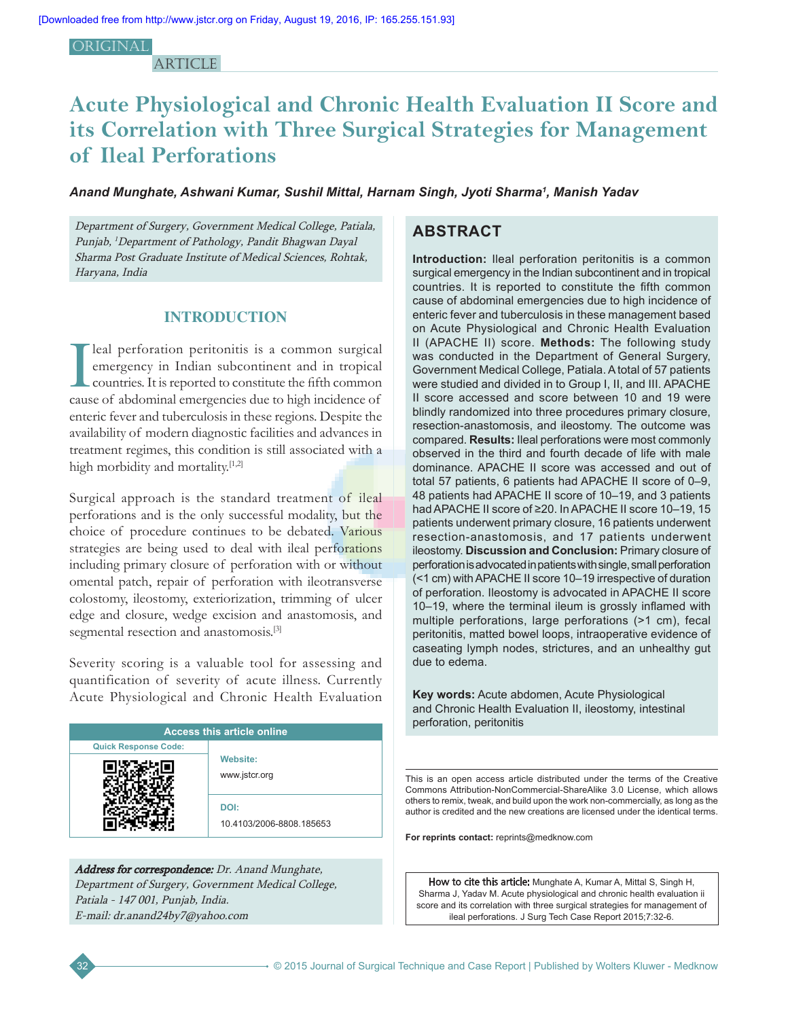#### **ORIGINAL**

**ARTICLE** 

# **Acute Physiological and Chronic Health Evaluation II Score and its Correlation with Three Surgical Strategies for Management of Ileal Perforations**

### *Anand Munghate, Ashwani Kumar, Sushil Mittal, Harnam Singh, Jyoti Sharma1 , Manish Yadav*

Department of Surgery, Government Medical College, Patiala, Punjab, <sup>1</sup>Department of Pathology, Pandit Bhagwan Dayal Sharma Post Graduate Institute of Medical Sciences, Rohtak, Haryana, India

## **INTRODUCTION**

I leal perforation peritonitis is a common surgical emergency in Indian subcontinent and in tropical countries. It is reported to constitute the fifth common cause of abdominal emergencies due to high incidence of enteric fever and tuberculosis in these regions. Despite the availability of modern diagnostic facilities and advances in treatment regimes, this condition is still associated with a high morbidity and mortality.<sup>[1,2]</sup>

Surgical approach is the standard treatment of ileal perforations and is the only successful modality, but the choice of procedure continues to be debated. Various strategies are being used to deal with ileal perforations including primary closure of perforation with or without omental patch, repair of perforation with ileotransverse colostomy, ileostomy, exteriorization, trimming of ulcer edge and closure, wedge excision and anastomosis, and segmental resection and anastomosis.<sup>[3]</sup>

Severity scoring is a valuable tool for assessing and quantification of severity of acute illness. Currently Acute Physiological and Chronic Health Evaluation

| <b>Access this article online</b> |                                  |  |  |
|-----------------------------------|----------------------------------|--|--|
| <b>Quick Response Code:</b>       |                                  |  |  |
|                                   | <b>Website:</b><br>www.jstcr.org |  |  |
|                                   | DOI:<br>10.4103/2006-8808.185653 |  |  |

Address for correspondence: Dr. Anand Munghate, Department of Surgery, Government Medical College, Patiala - 147 001, Punjab, India. E-mail: dr.anand24by7@yahoo.com

# **ABSTRACT**

**Introduction:** Ileal perforation peritonitis is a common surgical emergency in the Indian subcontinent and in tropical countries. It is reported to constitute the fifth common cause of abdominal emergencies due to high incidence of enteric fever and tuberculosis in these management based on Acute Physiological and Chronic Health Evaluation II (APACHE II) score. **Methods:** The following study was conducted in the Department of General Surgery, Government Medical College, Patiala. A total of 57 patients were studied and divided in to Group I, II, and III. APACHE II score accessed and score between 10 and 19 were blindly randomized into three procedures primary closure, resection-anastomosis, and ileostomy. The outcome was compared. **Results:** Ileal perforations were most commonly observed in the third and fourth decade of life with male dominance. APACHE II score was accessed and out of total 57 patients, 6 patients had APACHE II score of 0–9, 48 patients had APACHE II score of 10–19, and 3 patients had APACHE II score of ≥20. In APACHE II score 10–19, 15 patients underwent primary closure, 16 patients underwent resection-anastomosis, and 17 patients underwent ileostomy. **Discussion and Conclusion:** Primary closure of perforation is advocated in patients with single, small perforation (<1 cm) with APACHE II score 10–19 irrespective of duration of perforation. Ileostomy is advocated in APACHE II score 10–19, where the terminal ileum is grossly inflamed with multiple perforations, large perforations (>1 cm), fecal peritonitis, matted bowel loops, intraoperative evidence of caseating lymph nodes, strictures, and an unhealthy gut due to edema.

**Key words:** Acute abdomen, Acute Physiological and Chronic Health Evaluation II, ileostomy, intestinal perforation, peritonitis

This is an open access article distributed under the terms of the Creative Commons Attribution-NonCommercial-ShareAlike 3.0 License, which allows others to remix, tweak, and build upon the work non-commercially, as long as the author is credited and the new creations are licensed under the identical terms.

**For reprints contact:** reprints@medknow.com

How to cite this article: Munghate A, Kumar A, Mittal S, Singh H, Sharma J, Yadav M. Acute physiological and chronic health evaluation ii score and its correlation with three surgical strategies for management of ileal perforations. J Surg Tech Case Report 2015;7:32-6.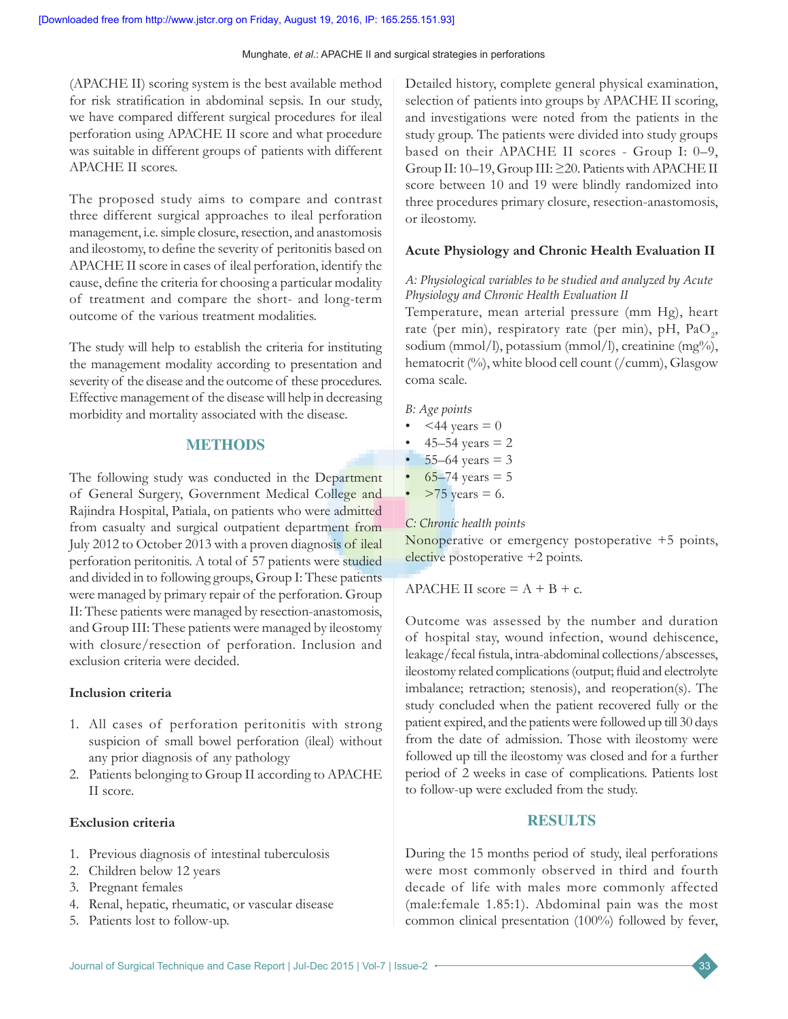(APACHE II) scoring system is the best available method for risk stratification in abdominal sepsis. In our study, we have compared different surgical procedures for ileal perforation using APACHE II score and what procedure was suitable in different groups of patients with different APACHE II scores.

The proposed study aims to compare and contrast three different surgical approaches to ileal perforation management, i.e. simple closure, resection, and anastomosis and ileostomy, to define the severity of peritonitis based on APACHE II score in cases of ileal perforation, identify the cause, define the criteria for choosing a particular modality of treatment and compare the short- and long-term outcome of the various treatment modalities.

The study will help to establish the criteria for instituting the management modality according to presentation and severity of the disease and the outcome of these procedures. Effective management of the disease will help in decreasing morbidity and mortality associated with the disease.

# **METHODS**

The following study was conducted in the Department of General Surgery, Government Medical College and Rajindra Hospital, Patiala, on patients who were admitted from casualty and surgical outpatient department from July 2012 to October 2013 with a proven diagnosis of ileal perforation peritonitis. A total of 57 patients were studied and divided in to following groups, Group I: These patients were managed by primary repair of the perforation. Group II: These patients were managed by resection-anastomosis, and Group III: These patients were managed by ileostomy with closure/resection of perforation. Inclusion and exclusion criteria were decided.

# **Inclusion criteria**

- 1. All cases of perforation peritonitis with strong suspicion of small bowel perforation (ileal) without any prior diagnosis of any pathology
- 2. Patients belonging to Group II according to APACHE II score.

# **Exclusion criteria**

- 1. Previous diagnosis of intestinal tuberculosis
- 2. Children below 12 years
- 3. Pregnant females
- 4. Renal, hepatic, rheumatic, or vascular disease
- 5. Patients lost to follow-up.

Detailed history, complete general physical examination, selection of patients into groups by APACHE II scoring, and investigations were noted from the patients in the study group. The patients were divided into study groups based on their APACHE II scores - Group I: 0–9, Group II: 10–19,Group III:≥20. PatientswithAPACHEII score between 10 and 19 were blindly randomized into three procedures primary closure, resection-anastomosis, or ileostomy.

### **Acute Physiology and Chronic Health Evaluation II**

### *A: Physiological variables to be studied and analyzed by Acute Physiology and Chronic Health Evaluation II*

Temperature, mean arterial pressure (mm Hg), heart rate (per min), respiratory rate (per min), pH,  $PaO_2$ , sodium (mmol/l), potassium (mmol/l), creatinine (mg%), hematocrit (%), white blood cell count (/cumm), Glasgow coma scale.

### *B: Age points*

- $~<$ 44 years = 0
- 45–54 years  $= 2$
- $55-64$  years = 3
- 65–74 years =  $5$
- $>75$  years = 6.

# *C: Chronic health points*

Nonoperative or emergency postoperative +5 points, elective postoperative +2 points.

APACHE II score  $= A + B + c$ .

Outcome was assessed by the number and duration of hospital stay, wound infection, wound dehiscence, leakage/fecal fistula, intra‑abdominal collections/abscesses, ileostomy related complications(output; fluid and electrolyte imbalance; retraction; stenosis), and reoperation(s). The study concluded when the patient recovered fully or the patient expired, and the patients were followed up till 30 days from the date of admission. Those with ileostomy were followed up till the ileostomy was closed and for a further period of 2 weeks in case of complications. Patients lost to follow-up were excluded from the study.

# **RESULTS**

During the 15 months period of study, ileal perforations were most commonly observed in third and fourth decade of life with males more commonly affected (male:female 1.85:1). Abdominal pain was the most common clinical presentation (100%) followed by fever,

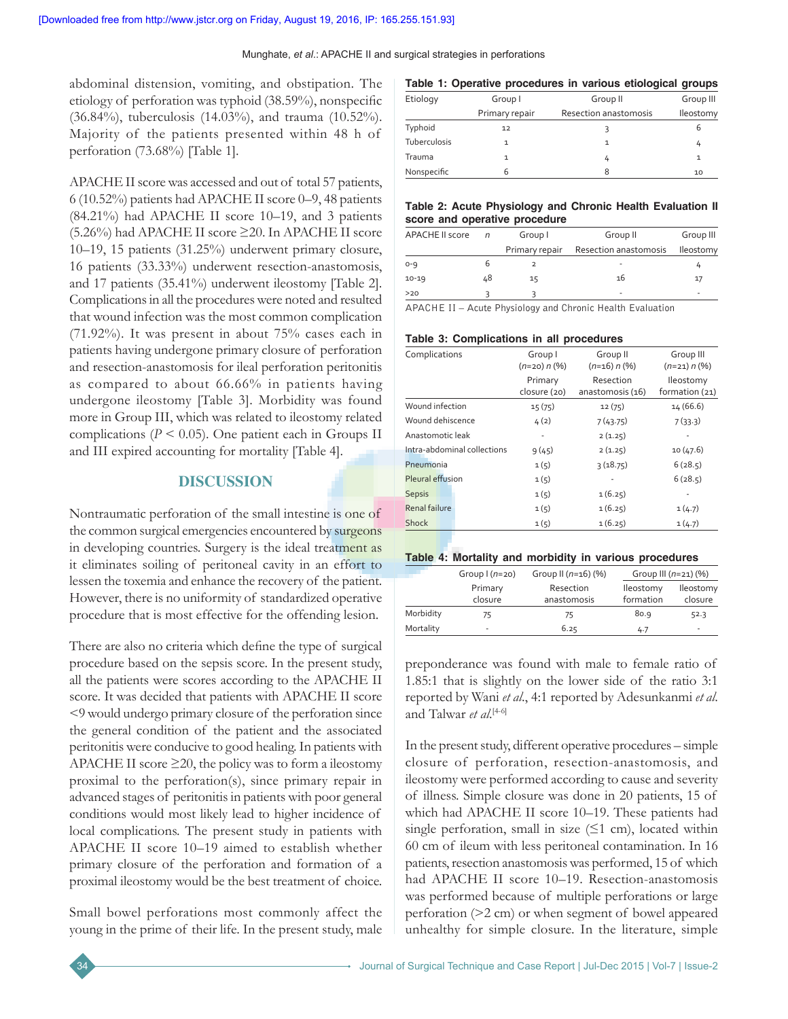abdominal distension, vomiting, and obstipation. The etiology of perforation was typhoid (38.59%), nonspecific (36.84%), tuberculosis (14.03%), and trauma (10.52%). Majority of the patients presented within 48 h of perforation (73.68%) [Table 1].

APACHE II score was accessed and out of total 57 patients, 6 (10.52%) patients had APACHE II score 0–9, 48 patients (84.21%) had APACHE II score 10–19, and 3 patients (5.26%) had APACHE II score ≥20. In APACHE II score 10–19, 15 patients (31.25%) underwent primary closure, 16 patients (33.33%) underwent resection-anastomosis, and 17 patients (35.41%) underwent ileostomy [Table 2]. Complications in all the procedures were noted and resulted that wound infection was the most common complication (71.92%). It was present in about 75% cases each in patients having undergone primary closure of perforation and resection-anastomosis for ileal perforation peritonitis as compared to about 66.66% in patients having undergone ileostomy [Table 3]. Morbidity was found more in Group III, which was related to ileostomy related complications ( $P \le 0.05$ ). One patient each in Groups II and III expired accounting for mortality [Table 4].

# **DISCUSSION**

Nontraumatic perforation of the small intestine is one of the common surgical emergencies encountered by surgeons in developing countries. Surgery is the ideal treatment as it eliminates soiling of peritoneal cavity in an effort to lessen the toxemia and enhance the recovery of the patient. However, there is no uniformity of standardized operative procedure that is most effective for the offending lesion.

There are also no criteria which define the type of surgical procedure based on the sepsis score. In the present study, all the patients were scores according to the APACHE II score. It was decided that patients with APACHE II score <9 would undergo primary closure of the perforation since the general condition of the patient and the associated peritonitis were conducive to good healing. In patients with APACHE II score  $\geq$ 20, the policy was to form a ileostomy proximal to the perforation(s), since primary repair in advanced stages of peritonitis in patients with poor general conditions would most likely lead to higher incidence of local complications. The present study in patients with APACHE II score 10–19 aimed to establish whether primary closure of the perforation and formation of a proximal ileostomy would be the best treatment of choice.

Small bowel perforations most commonly affect the young in the prime of their life. In the present study, male

| Table 1: Operative procedures in various etiological groups |                |                       |                  |  |  |
|-------------------------------------------------------------|----------------|-----------------------|------------------|--|--|
| Etiology                                                    | Group I        | Group II              | Group III        |  |  |
|                                                             | Primary repair | Resection anastomosis | <b>Ileostomy</b> |  |  |
| Typhoid                                                     | 12             |                       |                  |  |  |
| Tuberculosis                                                |                |                       | Ŀ                |  |  |

 $\frac{1}{4}$  1 Nonspecific 6 6 8 10

#### **Table 2: Acute Physiology and Chronic Health Evaluation II score and operative procedure**

| <b>APACHE II score</b> | $\sqrt{n}$ | Group I        | Group II              | Group III |
|------------------------|------------|----------------|-----------------------|-----------|
|                        |            | Primary repair | Resection anastomosis | lleostomy |
| $0 - 9$                |            |                | ٠                     |           |
| $10 - 19$              | 48         | 15             | 16                    | 17        |
| >20                    |            |                | ۰                     | -         |

APACHE II – Acute Physiology and Chronic Health Evaluation

#### **Table 3: Complications in all procedures**

| Resection<br>anastomosis (16)<br>12(75) | lleostomy<br>formation (21)<br>14 (66.6) |
|-----------------------------------------|------------------------------------------|
|                                         |                                          |
|                                         |                                          |
|                                         |                                          |
|                                         | 7(33.3)                                  |
| 2(1.25)                                 |                                          |
| 2(1.25)                                 | 10(47.6)                                 |
| 3(18.75)                                | 6(28.5)                                  |
|                                         | 6(28.5)                                  |
| 1(6.25)                                 |                                          |
| 1(6.25)                                 | 1(4.7)                                   |
| 1(6.25)                                 | 1(4.7)                                   |
|                                         | 7(43.75)                                 |

#### **Table 4: Mortality and morbidity in various procedures**

|           | Group $(n=20)$ | Group II $(n=16)$ (%) | Group III $(n=21)$ (%) |                  |
|-----------|----------------|-----------------------|------------------------|------------------|
|           | Primary        | Resection             | <b>Ileostomy</b>       | <b>Ileostomy</b> |
|           | closure        | anastomosis           | formation              | closure          |
| Morbidity | 75             | 75                    | 80.9                   | 52.3             |
| Mortality | ÷              | 6.25                  | 4.7                    | ٠                |

preponderance was found with male to female ratio of 1.85:1 that is slightly on the lower side of the ratio 3:1 reported by Wani *et al*., 4:1 reported by Adesunkanmi *et al*. and Talwar *et al*. [4-6]

In the present study, different operative procedures – simple closure of perforation, resection-anastomosis, and ileostomy were performed according to cause and severity of illness. Simple closure was done in 20 patients, 15 of which had APACHE II score 10–19. These patients had single perforation, small in size  $(≤1$  cm), located within 60 cm of ileum with less peritoneal contamination. In 16 patients, resection anastomosis was performed, 15 of which had APACHE II score 10–19. Resection-anastomosis was performed because of multiple perforations or large perforation (>2 cm) or when segment of bowel appeared unhealthy for simple closure. In the literature, simple

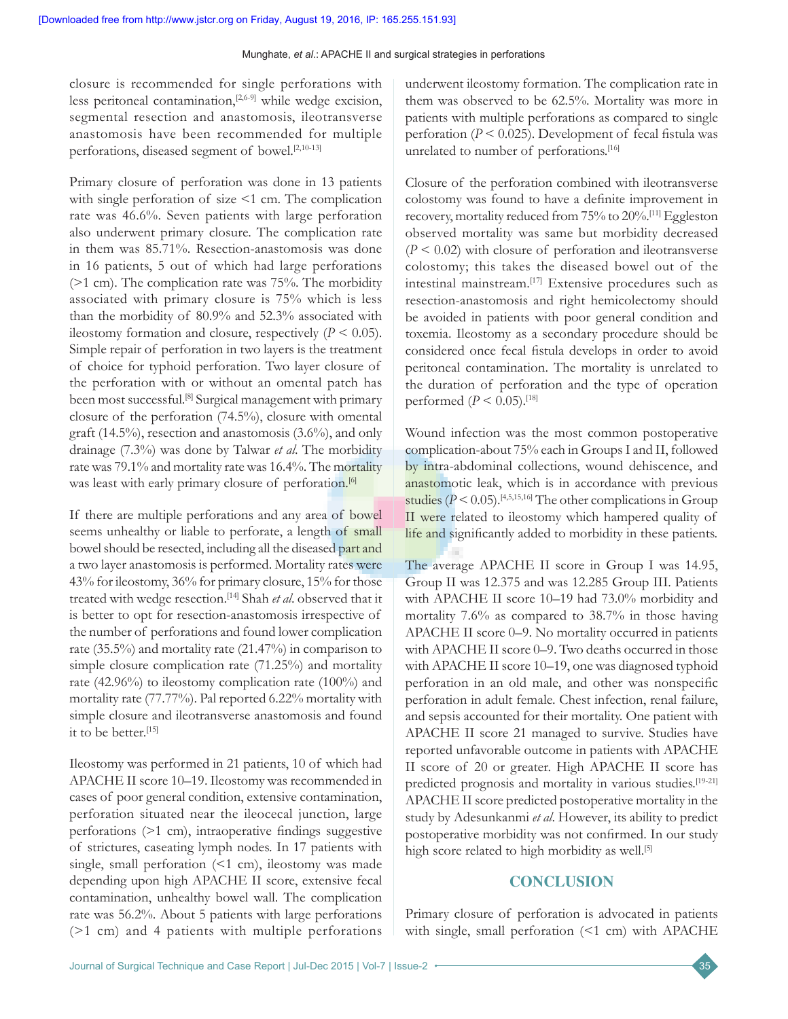closure is recommended for single perforations with less peritoneal contamination,[2,6-9] while wedge excision, segmental resection and anastomosis, ileotransverse anastomosis have been recommended for multiple perforations, diseased segment of bowel.<sup>[2,10-13]</sup>

Primary closure of perforation was done in 13 patients with single perforation of size <1 cm. The complication rate was 46.6%. Seven patients with large perforation also underwent primary closure. The complication rate in them was 85.71%. Resection-anastomosis was done in 16 patients, 5 out of which had large perforations (>1 cm). The complication rate was 75%. The morbidity associated with primary closure is 75% which is less than the morbidity of 80.9% and 52.3% associated with ileostomy formation and closure, respectively  $(P < 0.05)$ . Simple repair of perforation in two layers is the treatment of choice for typhoid perforation. Two layer closure of the perforation with or without an omental patch has been most successful.<sup>[8]</sup> Surgical management with primary closure of the perforation (74.5%), closure with omental graft (14.5%), resection and anastomosis (3.6%), and only drainage (7.3%) was done by Talwar *et al*. The morbidity rate was 79.1% and mortality rate was 16.4%. The mortality was least with early primary closure of perforation.<sup>[6]</sup>

If there are multiple perforations and any area of bowel seems unhealthy or liable to perforate, a length of small bowel should be resected, including all the diseased part and a two layer anastomosis is performed. Mortality rates were 43% for ileostomy, 36% for primary closure, 15% for those treated with wedge resection.[14] Shah *et al*. observed that it is better to opt for resection-anastomosis irrespective of the number of perforations and found lower complication rate (35.5%) and mortality rate (21.47%) in comparison to simple closure complication rate (71.25%) and mortality rate (42.96%) to ileostomy complication rate (100%) and mortality rate (77.77%). Pal reported 6.22% mortality with simple closure and ileotransverse anastomosis and found it to be better.[15]

Ileostomy was performed in 21 patients, 10 of which had APACHE II score 10–19. Ileostomy was recommended in cases of poor general condition, extensive contamination, perforation situated near the ileocecal junction, large perforations (>1 cm), intraoperative findings suggestive of strictures, caseating lymph nodes. In 17 patients with single, small perforation  $(1 \text{ cm})$ , ileostomy was made depending upon high APACHE II score, extensive fecal contamination, unhealthy bowel wall. The complication rate was 56.2%. About 5 patients with large perforations (>1 cm) and 4 patients with multiple perforations

underwent ileostomy formation. The complication rate in them was observed to be 62.5%. Mortality was more in patients with multiple perforations as compared to single perforation (*P* < 0.025). Development of fecal fistula was unrelated to number of perforations.<sup>[16]</sup>

Closure of the perforation combined with ileotransverse colostomy was found to have a definite improvement in recovery, mortality reduced from 75% to 20%.[11] Eggleston observed mortality was same but morbidity decreased (*P* < 0.02) with closure of perforation and ileotransverse colostomy; this takes the diseased bowel out of the intestinal mainstream.[17] Extensive procedures such as resection-anastomosis and right hemicolectomy should be avoided in patients with poor general condition and toxemia. Ileostomy as a secondary procedure should be considered once fecal fistula develops in order to avoid peritoneal contamination. The mortality is unrelated to the duration of perforation and the type of operation performed  $(P < 0.05)$ .<sup>[18]</sup>

Wound infection was the most common postoperative complication-about 75% each in Groups I and II, followed by intra-abdominal collections, wound dehiscence, and anastomotic leak, which is in accordance with previous studies ( $P < 0.05$ ).<sup>[4,5,15,16]</sup> The other complications in Group II were related to ileostomy which hampered quality of life and significantly added to morbidity in these patients.

The average APACHE II score in Group I was 14.95, Group II was 12.375 and was 12.285 Group III. Patients with APACHE II score 10–19 had 73.0% morbidity and mortality 7.6% as compared to 38.7% in those having APACHE II score 0–9. No mortality occurred in patients with APACHE II score 0–9. Two deaths occurred in those with APACHE II score 10–19, one was diagnosed typhoid perforation in an old male, and other was nonspecific perforation in adult female. Chest infection, renal failure, and sepsis accounted for their mortality. One patient with APACHE II score 21 managed to survive. Studies have reported unfavorable outcome in patients with APACHE II score of 20 or greater. High APACHE II score has predicted prognosis and mortality in various studies.<sup>[19-21]</sup> APACHE II score predicted postoperative mortality in the study by Adesunkanmi *et al*. However, its ability to predict postoperative morbidity was not confirmed. In our study high score related to high morbidity as well.<sup>[5]</sup>

### **CONCLUSION**

Primary closure of perforation is advocated in patients with single, small perforation (<1 cm) with APACHE